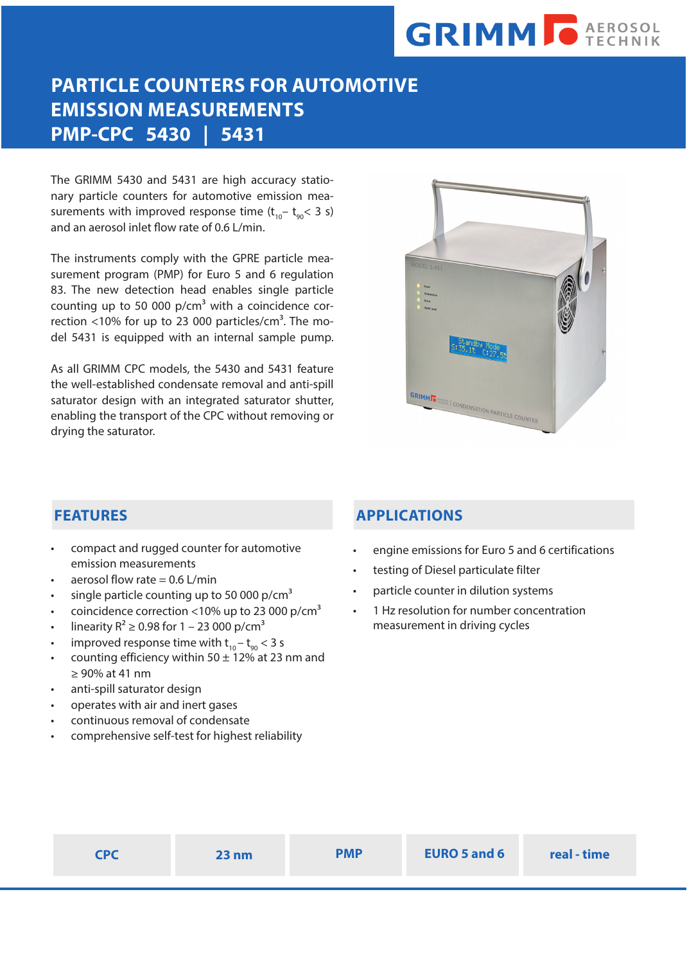# **GRIMM O AEROSOL**

# **PARTICLE COUNTERS FOR AUTOMOTIVE EMISSION MEASUREMENTS PMP-CPC 5430 | 5431**

The GRIMM 5430 and 5431 are high accuracy stationary particle counters for automotive emission measurements with improved response time  $(t_{10} - t_{00} < 3 s)$ and an aerosol inlet flow rate of 0.6 L/min.

The instruments comply with the GPRE particle measurement program (PMP) for Euro 5 and 6 regulation 83. The new detection head enables single particle counting up to 50 000  $p/cm<sup>3</sup>$  with a coincidence correction  $<$ 10% for up to 23 000 particles/cm<sup>3</sup>. The model 5431 is equipped with an internal sample pump.

As all GRIMM CPC models, the 5430 and 5431 feature the well-established condensate removal and anti-spill saturator design with an integrated saturator shutter, enabling the transport of the CPC without removing or drying the saturator.



## **FEATURES**

- compact and rugged counter for automotive emission measurements
- aerosol flow rate  $= 0.6$  L/min
- single particle counting up to 50 000  $p/cm<sup>3</sup>$
- coincidence correction <10% up to 23 000 p/cm<sup>3</sup>
- linearity  $R^2 \ge 0.98$  for 1 23 000 p/cm<sup>3</sup>
- improved response time with  $t_{10} t_{90} < 3$  s
- counting efficiency within 50  $\pm$  12% at 23 nm and ≥ 90% at 41 nm
- anti-spill saturator design
- operates with air and inert gases
- continuous removal of condensate
- comprehensive self-test for highest reliability

## **APPLICATIONS**

- engine emissions for Euro 5 and 6 certifications
- testing of Diesel particulate filter
- particle counter in dilution systems
- 1 Hz resolution for number concentration measurement in driving cycles

| CDC | 23 nm | <b>PMP</b> | <b>EURO 5 and 6</b> | real - time |
|-----|-------|------------|---------------------|-------------|
|     |       |            |                     |             |